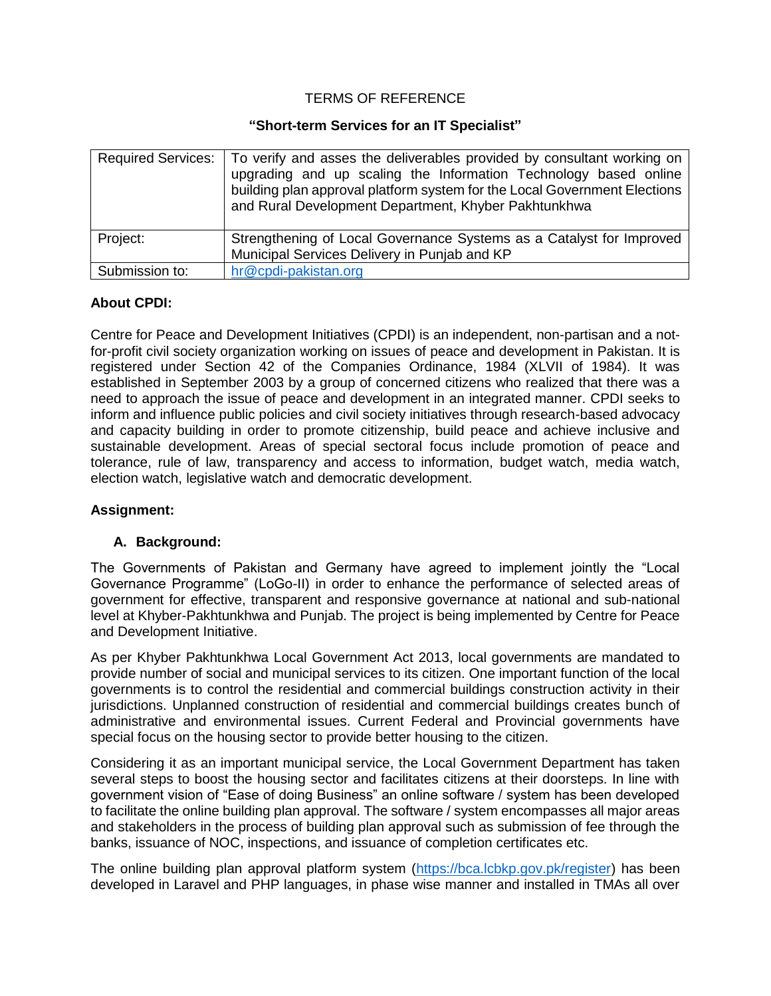### TERMS OF REFERENCE

#### **"Short-term Services for an IT Specialist"**

|                | Required Services:   To verify and asses the deliverables provided by consultant working on<br>upgrading and up scaling the Information Technology based online<br>building plan approval platform system for the Local Government Elections<br>and Rural Development Department, Khyber Pakhtunkhwa |
|----------------|------------------------------------------------------------------------------------------------------------------------------------------------------------------------------------------------------------------------------------------------------------------------------------------------------|
| Project:       | Strengthening of Local Governance Systems as a Catalyst for Improved<br>Municipal Services Delivery in Punjab and KP                                                                                                                                                                                 |
| Submission to: | hr@cpdi-pakistan.org                                                                                                                                                                                                                                                                                 |

### **About CPDI:**

Centre for Peace and Development Initiatives (CPDI) is an independent, non-partisan and a notfor-profit civil society organization working on issues of peace and development in Pakistan. It is registered under Section 42 of the Companies Ordinance, 1984 (XLVII of 1984). It was established in September 2003 by a group of concerned citizens who realized that there was a need to approach the issue of peace and development in an integrated manner. CPDI seeks to inform and influence public policies and civil society initiatives through research-based advocacy and capacity building in order to promote citizenship, build peace and achieve inclusive and sustainable development. Areas of special sectoral focus include promotion of peace and tolerance, rule of law, transparency and access to information, budget watch, media watch, election watch, legislative watch and democratic development.

### **Assignment:**

### **A. Background:**

The Governments of Pakistan and Germany have agreed to implement jointly the "Local Governance Programme" (LoGo-II) in order to enhance the performance of selected areas of government for effective, transparent and responsive governance at national and sub-national level at Khyber-Pakhtunkhwa and Punjab. The project is being implemented by Centre for Peace and Development Initiative.

As per Khyber Pakhtunkhwa Local Government Act 2013, local governments are mandated to provide number of social and municipal services to its citizen. One important function of the local governments is to control the residential and commercial buildings construction activity in their jurisdictions. Unplanned construction of residential and commercial buildings creates bunch of administrative and environmental issues. Current Federal and Provincial governments have special focus on the housing sector to provide better housing to the citizen.

Considering it as an important municipal service, the Local Government Department has taken several steps to boost the housing sector and facilitates citizens at their doorsteps. In line with government vision of "Ease of doing Business" an online software / system has been developed to facilitate the online building plan approval. The software / system encompasses all major areas and stakeholders in the process of building plan approval such as submission of fee through the banks, issuance of NOC, inspections, and issuance of completion certificates etc.

The online building plan approval platform system [\(https://bca.lcbkp.gov.pk/register\)](https://bca.lcbkp.gov.pk/register) has been developed in Laravel and PHP languages, in phase wise manner and installed in TMAs all over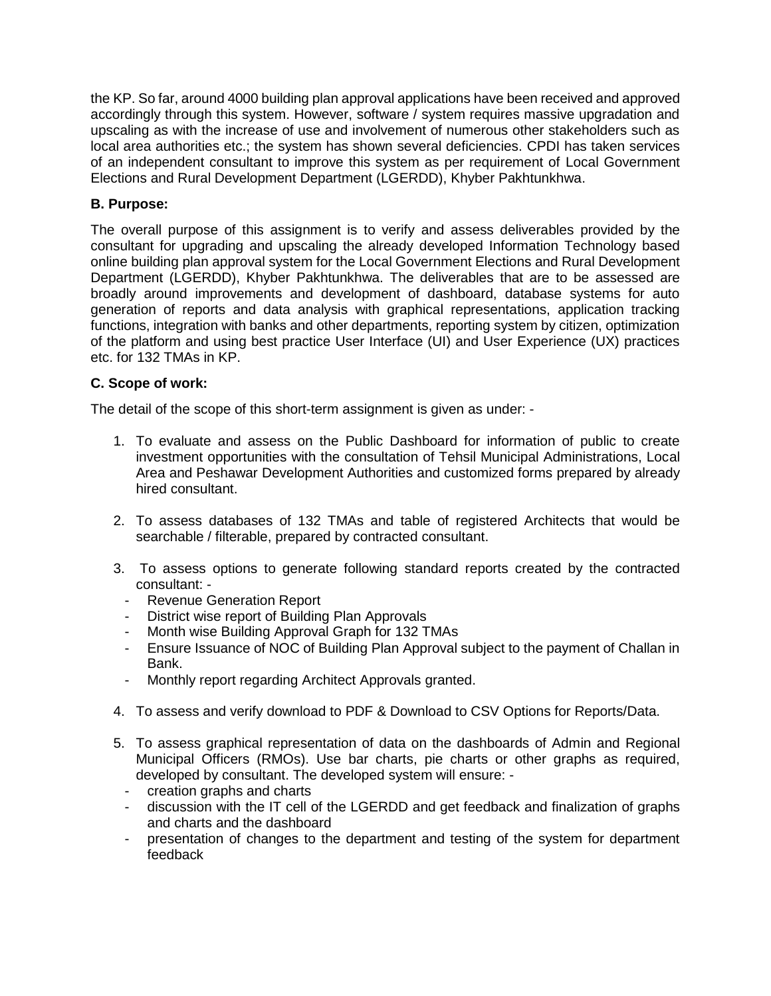the KP. So far, around 4000 building plan approval applications have been received and approved accordingly through this system. However, software / system requires massive upgradation and upscaling as with the increase of use and involvement of numerous other stakeholders such as local area authorities etc.; the system has shown several deficiencies. CPDI has taken services of an independent consultant to improve this system as per requirement of Local Government Elections and Rural Development Department (LGERDD), Khyber Pakhtunkhwa.

# **B. Purpose:**

The overall purpose of this assignment is to verify and assess deliverables provided by the consultant for upgrading and upscaling the already developed Information Technology based online building plan approval system for the Local Government Elections and Rural Development Department (LGERDD), Khyber Pakhtunkhwa. The deliverables that are to be assessed are broadly around improvements and development of dashboard, database systems for auto generation of reports and data analysis with graphical representations, application tracking functions, integration with banks and other departments, reporting system by citizen, optimization of the platform and using best practice User Interface (UI) and User Experience (UX) practices etc. for 132 TMAs in KP.

# **C. Scope of work:**

The detail of the scope of this short-term assignment is given as under: -

- 1. To evaluate and assess on the Public Dashboard for information of public to create investment opportunities with the consultation of Tehsil Municipal Administrations, Local Area and Peshawar Development Authorities and customized forms prepared by already hired consultant.
- 2. To assess databases of 132 TMAs and table of registered Architects that would be searchable / filterable, prepared by contracted consultant.
- 3. To assess options to generate following standard reports created by the contracted consultant: -
	- Revenue Generation Report
	- District wise report of Building Plan Approvals
	- Month wise Building Approval Graph for 132 TMAs
	- Ensure Issuance of NOC of Building Plan Approval subject to the payment of Challan in Bank.
	- Monthly report regarding Architect Approvals granted.
- 4. To assess and verify download to PDF & Download to CSV Options for Reports/Data.
- 5. To assess graphical representation of data on the dashboards of Admin and Regional Municipal Officers (RMOs). Use bar charts, pie charts or other graphs as required, developed by consultant. The developed system will ensure: -
	- creation graphs and charts
	- discussion with the IT cell of the LGERDD and get feedback and finalization of graphs and charts and the dashboard
	- presentation of changes to the department and testing of the system for department feedback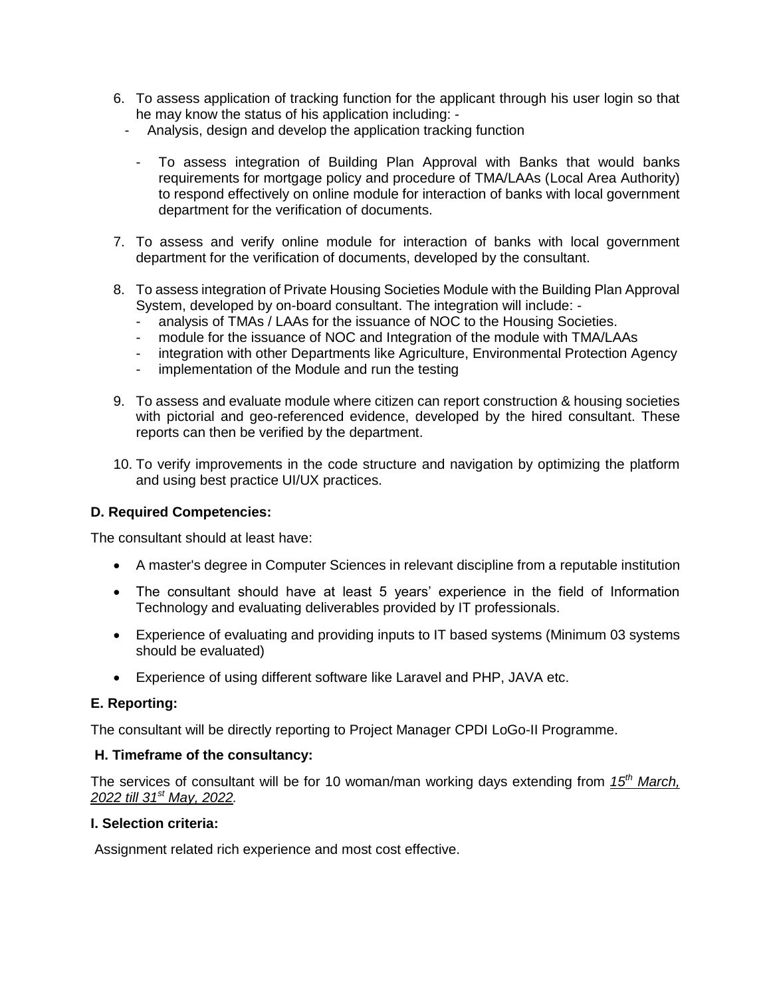- 6. To assess application of tracking function for the applicant through his user login so that he may know the status of his application including: -
	- Analysis, design and develop the application tracking function
		- To assess integration of Building Plan Approval with Banks that would banks requirements for mortgage policy and procedure of TMA/LAAs (Local Area Authority) to respond effectively on online module for interaction of banks with local government department for the verification of documents.
- 7. To assess and verify online module for interaction of banks with local government department for the verification of documents, developed by the consultant.
- 8. To assess integration of Private Housing Societies Module with the Building Plan Approval System, developed by on-board consultant. The integration will include: -
	- analysis of TMAs / LAAs for the issuance of NOC to the Housing Societies.
	- module for the issuance of NOC and Integration of the module with TMA/LAAs
	- integration with other Departments like Agriculture, Environmental Protection Agency
	- implementation of the Module and run the testing
- 9. To assess and evaluate module where citizen can report construction & housing societies with pictorial and geo-referenced evidence, developed by the hired consultant. These reports can then be verified by the department.
- 10. To verify improvements in the code structure and navigation by optimizing the platform and using best practice UI/UX practices.

### **D. Required Competencies:**

The consultant should at least have:

- A master's degree in Computer Sciences in relevant discipline from a reputable institution
- The consultant should have at least 5 years' experience in the field of Information Technology and evaluating deliverables provided by IT professionals.
- Experience of evaluating and providing inputs to IT based systems (Minimum 03 systems should be evaluated)
- Experience of using different software like Laravel and PHP, JAVA etc.

### **E. Reporting:**

The consultant will be directly reporting to Project Manager CPDI LoGo-II Programme.

#### **H. Timeframe of the consultancy:**

The services of consultant will be for 10 woman/man working days extending from *15th March, 2022 till 31st May, 2022.*

### **I. Selection criteria:**

Assignment related rich experience and most cost effective.